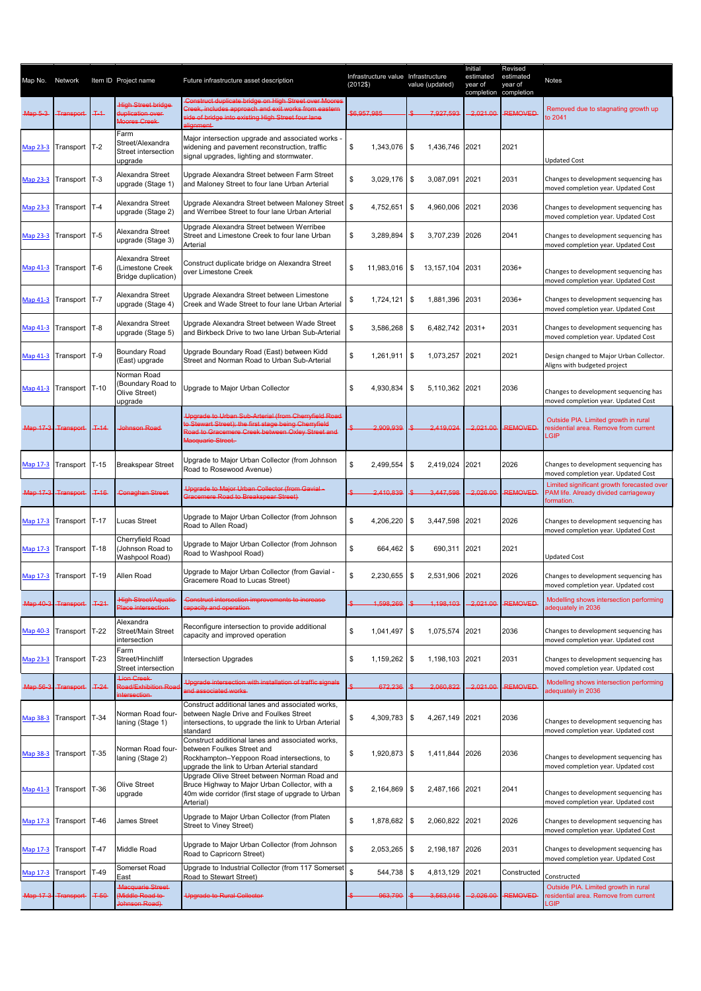| Map No.  | Network                 |        | Item ID Project name                                           | Future infrastructure asset description                                                                                                                                                       | Infrastructure value Infrastructure<br>(2012\$)<br>value (updated) |                       | Initial<br>estimated<br>year of<br>completion completion | Revised<br>estimated<br>year of | Notes                                                                                            |
|----------|-------------------------|--------|----------------------------------------------------------------|-----------------------------------------------------------------------------------------------------------------------------------------------------------------------------------------------|--------------------------------------------------------------------|-----------------------|----------------------------------------------------------|---------------------------------|--------------------------------------------------------------------------------------------------|
| Map 5-3- | Transport-              | $+4$   | <b>High Street bridge</b><br>duplication over<br>Moores Creek- | Construct duplicate bridge on High Street over Moores<br><b>Creek, includes approach and exit works from eastern-</b><br>ide of bridge into existing High Street four lane<br><b>Hignment</b> | \$6,957,985                                                        | 7.927.593             | 2.021.00                                                 | <b>REMOVED</b>                  | Removed due to stagnating growth up<br>to 2041                                                   |
|          | Map 23-3 Transport T-2  |        | Farm<br>Street/Alexandra<br>Street intersection<br>upgrade     | Major intersection upgrade and associated works -<br>widening and pavement reconstruction, traffic<br>signal upgrades, lighting and stormwater.                                               | \$<br>1,343,076                                                    | \$<br>1.436.746       | 2021                                                     | 2021                            | <b>Updated Cost</b>                                                                              |
| Map 23-3 | Transport T-3           |        | Alexandra Street<br>upgrade (Stage 1)                          | Upgrade Alexandra Street between Farm Street<br>and Maloney Street to four lane Urban Arterial                                                                                                | \$<br>3.029.176                                                    | \$<br>3,087,091       | 2021                                                     | 2031                            | Changes to development sequencing has<br>moved completion year. Updated Cost                     |
| Map 23-3 | Transport T-4           |        | Alexandra Street<br>upgrade (Stage 2)                          | Upgrade Alexandra Street between Maloney Street<br>and Werribee Street to four lane Urban Arterial                                                                                            | $\mathbb S$<br>4,752,651                                           | \$<br>4,960,006       | 2021                                                     | 2036                            | Changes to development sequencing has<br>moved completion year. Updated Cost                     |
| Map 23-3 | Transport T-5           |        | Alexandra Street<br>upgrade (Stage 3)                          | Upgrade Alexandra Street between Werribee<br>Street and Limestone Creek to four lane Urban<br>Arterial                                                                                        | \$<br>3,289,894                                                    | \$<br>3,707,239       | 2026                                                     | 2041                            | Changes to development sequencing has<br>moved completion year. Updated Cost                     |
|          | Map 41-3 Transport T-6  |        | Alexandra Street<br>(Limestone Creek<br>Bridge duplication)    | Construct duplicate bridge on Alexandra Street<br>over Limestone Creek                                                                                                                        | \$<br>11,983,016                                                   | \$<br>13, 157, 104    | 2031                                                     | 2036+                           | Changes to development sequencing has<br>moved completion year. Updated Cost                     |
| Map 41-3 | Transport T-7           |        | Alexandra Street<br>upgrade (Stage 4)                          | Upgrade Alexandra Street between Limestone<br>Creek and Wade Street to four lane Urban Arterial                                                                                               | \$<br>1,724,121                                                    | \$<br>1,881,396       | 2031                                                     | $2036+$                         | Changes to development sequencing has<br>moved completion year. Updated Cost                     |
| Map 41-3 | Transport T-8           |        | Alexandra Street<br>upgrade (Stage 5)                          | Upgrade Alexandra Street between Wade Street<br>and Birkbeck Drive to two lane Urban Sub-Arterial                                                                                             | \$<br>3,586,268                                                    | 6,482,742 2031+<br>\$ |                                                          | 2031                            | Changes to development sequencing has<br>moved completion year. Updated Cost                     |
| Map 41-3 | Transport T-9           |        | Boundary Road<br>(East) upgrade                                | Upgrade Boundary Road (East) between Kidd<br>Street and Norman Road to Urban Sub-Arterial                                                                                                     | \$<br>1,261,911                                                    | \$<br>1,073,257       | 2021                                                     | 2021                            | Design changed to Major Urban Collector.<br>Aligns with budgeted project                         |
| Map 41-3 | Transport T-10          |        | Norman Road<br>Boundary Road to<br>Olive Street)<br>upgrade    | Upgrade to Major Urban Collector                                                                                                                                                              | \$<br>4,930,834                                                    | \$<br>5.110.362 2021  |                                                          | 2036                            | Changes to development sequencing has<br>moved completion year. Updated Cost                     |
|          | Map 17-3 Transport T-14 |        | Johnson Road                                                   | Upgrade to Urban Sub-Arterial (from Cherryfield Road<br>o Stewart Street); the first stage being Cherryfield<br>Road to Gracemere Creek between Oxley Street and<br>Macquarie Street.         | 2,909,939                                                          | 2.419.024             | 2,021.00                                                 | <b>REMOVED</b>                  | Outside PIA. Limited growth in rural<br>esidential area. Remove from current<br>LGIP             |
|          | Map 17-3 Transport T-15 |        | <b>Breakspear Street</b>                                       | Upgrade to Major Urban Collector (from Johnson<br>Road to Rosewood Avenue)                                                                                                                    | \$<br>2,499,554                                                    | 2,419,024<br>\$       | 2021                                                     | 2026                            | Changes to development sequencing has<br>moved completion year. Updated Cost                     |
|          | Map 17-3 Transport      | $T-16$ | <b>Conaghan Street</b>                                         | Upgrade to Major Urban Collector (from Gavial-<br>Gracemere Road to Breakspear Street)                                                                                                        | 2.410.839                                                          | 3.447.598             | 2.026.00                                                 | <b>REMOVED</b>                  | Limited significant growth forecasted over<br>PAM life. Already divided carriageway<br>ormation. |
|          | Map 17-3 Transport T-17 |        | Lucas Street                                                   | Upgrade to Major Urban Collector (from Johnson<br>Road to Allen Road)                                                                                                                         | \$<br>4,206,220                                                    | \$<br>3,447,598       | 2021                                                     | 2026                            | Changes to development sequencing has<br>moved completion year. Updated Cost                     |
|          | Map 17-3 Transport T-18 |        | Cherryfield Road<br>(Johnson Road to<br>Washpool Road)         | Upgrade to Major Urban Collector (from Johnson<br>Road to Washpool Road)                                                                                                                      | \$<br>664,462 \$                                                   | 690,311               | 2021                                                     | 2021                            | <b>Updated Cost</b>                                                                              |
| Map 17-3 | Transport T-19          |        | Allen Road                                                     | Upgrade to Major Urban Collector (from Gavial -<br>Gracemere Road to Lucas Street)                                                                                                            | \$<br>2,230,655                                                    | \$<br>2,531,906 2021  |                                                          | 2026                            | Changes to development sequencing has<br>moved completion year. Updated cost                     |
|          | Map 40-3 Transport      | $+21$  | <b>High Street/Aquatic</b><br>Place intersection-              | Construct intersection improvements to increase<br>apacity and operation-                                                                                                                     | 1,598,269                                                          | 1,198,103             | 2,021.00                                                 | <b>REMOVED</b>                  | Modelling shows intersection performing<br>adequately in 2036                                    |
|          | Map 40-3 Transport T-22 |        | Alexandra<br>Street/Main Street<br>intersection                | Reconfigure intersection to provide additional<br>capacity and improved operation                                                                                                             | \$<br>1,041,497                                                    | \$<br>1,075,574       | 2021                                                     | 2036                            | Changes to development sequencing has<br>moved completion year. Updated cost                     |
| Map 23-3 | Transport T-23          |        | Farm<br>Street/Hinchliff<br>Street intersection                | <b>Intersection Upgrades</b>                                                                                                                                                                  | \$<br>1,159,262                                                    | \$<br>1,198,103       | 2021                                                     | 2031                            | Changes to development sequencing has<br>moved completion year. Updated cost                     |
|          | Map 56-3 Transport T-24 |        | Lion Creek<br>Road/Exhibition Roa<br>ntersection-              | Upgrade intersection with installation of traffic signals<br>and associated works                                                                                                             | 672,236                                                            | 2,060,822             | 2.021.00                                                 | <b>REMOVED</b>                  | Modelling shows intersection performing<br>adequately in 2036                                    |
| Map 38-3 | Transport               | $T-34$ | Norman Road four-<br>laning (Stage 1)                          | Construct additional lanes and associated works,<br>between Nagle Drive and Foulkes Street<br>intersections, to upgrade the link to Urban Arterial<br>standard                                | \$<br>4,309,783                                                    | \$<br>4,267,149       | 2021                                                     | 2036                            | Changes to development sequencing has<br>moved completion year. Updated cost                     |
| Map 38-3 | Transport T-35          |        | Norman Road four-<br>laning (Stage 2)                          | Construct additional lanes and associated works,<br>between Foulkes Street and<br>Rockhampton-Yeppoon Road intersections, to<br>upgrade the link to Urban Arterial standard                   | \$<br>1,920,873                                                    | \$<br>1,411,844       | 2026                                                     | 2036                            | Changes to development sequencing has<br>moved completion year. Updated cost                     |
|          | Map 41-3 Transport T-36 |        | Olive Street<br>upgrade                                        | Upgrade Olive Street between Norman Road and<br>Bruce Highway to Major Urban Collector, with a<br>40m wide corridor (first stage of upgrade to Urban<br>Arterial)                             | \$<br>2,164,869                                                    | 2,487,166 2021<br>\$  |                                                          | 2041                            | Changes to development sequencing has<br>moved completion year. Updated cost                     |
| Map 17-3 | Transport T-46          |        | James Street                                                   | Upgrade to Major Urban Collector (from Platen<br>Street to Viney Street)                                                                                                                      | \$<br>1,878,682                                                    | 2,060,822<br>\$       | 2021                                                     | 2026                            | Changes to development sequencing has<br>moved completion year. Updated Cost                     |
| Map 17-3 | Transport T-47          |        | Middle Road                                                    | Upgrade to Major Urban Collector (from Johnson<br>Road to Capricorn Street)                                                                                                                   | \$<br>2,053,265                                                    | 2,198,187<br>\$       | 2026                                                     | 2031                            | Changes to development sequencing has<br>moved completion year. Updated Cost                     |
| Map 17-3 | Transport               | $T-49$ | Somerset Road<br>East                                          | Upgrade to Industrial Collector (from 117 Somerset<br>Road to Stewart Street)                                                                                                                 | \$<br>544,738                                                      | \$<br>4,813,129       | 2021                                                     | Constructed                     | Constructed                                                                                      |
|          | Map 17-3 Transport      | $T-50$ | <b>Macquarie Street-</b><br>Middle Road to<br>Johnson Road)    | <b>Upgrade to Rural Collector</b>                                                                                                                                                             | 963,790                                                            | 3,563,016             | 2,026.00                                                 | <b>REMOVED</b>                  | Outside PIA. Limited growth in rural<br>residential area. Remove from current<br><b>GIP</b>      |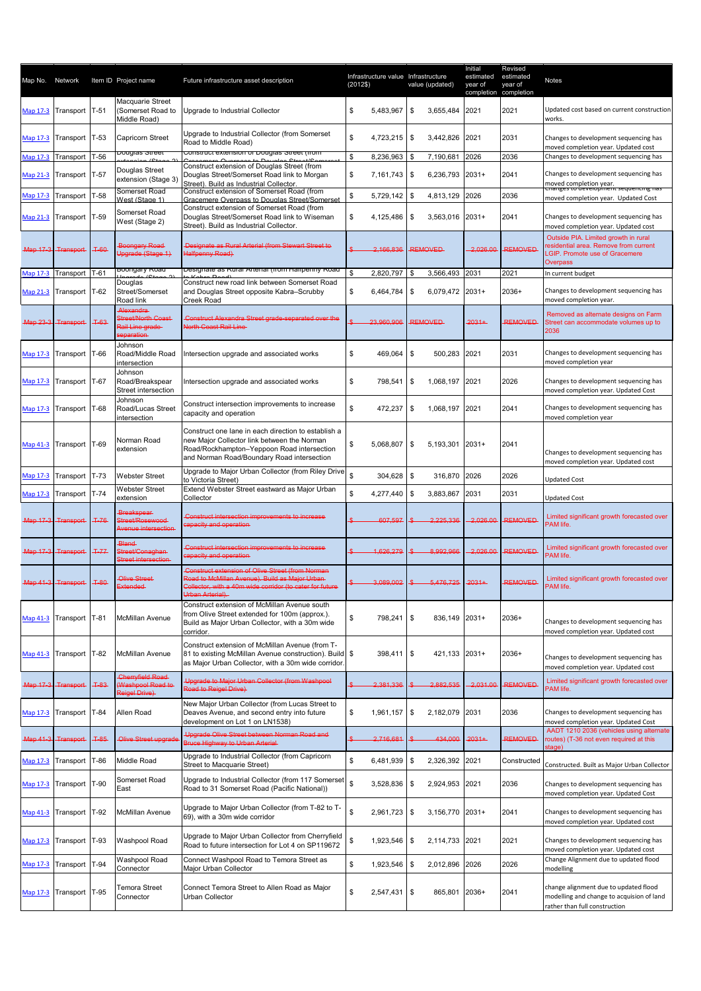| Map No. Network |                                 |        | Item ID Project name                                              | Future infrastructure asset description                                                                                                                                                            | (2012\$) |                | Infrastructure value Infrastructure<br>value (updated) | Initial<br>estimated<br>year of<br>completion completion | Revised<br>estimated<br>year of | Notes                                                                                                                                   |
|-----------------|---------------------------------|--------|-------------------------------------------------------------------|----------------------------------------------------------------------------------------------------------------------------------------------------------------------------------------------------|----------|----------------|--------------------------------------------------------|----------------------------------------------------------|---------------------------------|-----------------------------------------------------------------------------------------------------------------------------------------|
| Map 17-3        | Transport                       | $T-51$ | Macquarie Street<br>(Somerset Road to<br>Middle Road)             | Upgrade to Industrial Collector                                                                                                                                                                    | \$       | 5,483,967      | \$<br>3,655,484                                        | 2021                                                     | 2021                            | Updated cost based on current construction<br>works.                                                                                    |
| Map 17-3        | Transport                       | $T-53$ | <b>Capricorn Street</b><br>⊃ougias otreet                         | Upgrade to Industrial Collector (from Somerset<br>Road to Middle Road)<br><u>Construct exterision or Douglas Street (from </u>                                                                     | \$       | 4,723,215      | \$<br>3,442,826                                        | 2021                                                     | 2031                            | Changes to development sequencing has<br>moved completion year. Updated cost                                                            |
| <b>Map 17-3</b> | Transport                       | T-56   |                                                                   | Construct extension of Douglas Street (from                                                                                                                                                        | \$       | 8,236,963      | 7,190,681<br>\$.                                       | 2026                                                     | 2036                            | Changes to development sequencing has                                                                                                   |
| Map 21-3        | Transport                       | $T-57$ | Douglas Street<br>extension (Stage 3)<br>Somerset Road            | Douglas Street/Somerset Road link to Morgan<br>Street). Build as Industrial Collector.<br>Construct extension of Somerset Road (from                                                               | \$       | 7,161,743      | \$<br>6,236,793                                        | $2031+$                                                  | 2041                            | Changes to development sequencing has<br>moved completion year.<br>Changes to development sequenting has                                |
| Map 17-3        | Transport                       | $T-58$ | West (Stage 1)                                                    | Gracemere Overpass to Douglas Street/Somerset                                                                                                                                                      | \$       | 5,729,142      | \$<br>4,813,129                                        | 2026                                                     | 2036                            | moved completion year. Updated Cost                                                                                                     |
|                 | Map 21-3 Transport              | $T-59$ | Somerset Road<br>West (Stage 2)                                   | Construct extension of Somerset Road (from<br>Douglas Street/Somerset Road link to Wiseman<br>Street). Build as Industrial Collector.                                                              | \$       | 4,125,486      | 3,563,016 2031+<br>\$                                  |                                                          | 2041                            | Changes to development sequencing has<br>moved completion year. Updated cost                                                            |
|                 | Map 17-3 Transport              | $+60$  | Boongary Road<br>Upgrade (Stage 1)                                | Designate as Rural Arterial (from Stewart Street to<br>Halfpenny Road)                                                                                                                             |          | 2,166,836      | <b>REMOVED</b>                                         | 2.026.00                                                 | <b>REMOVED</b>                  | Outside PIA. Limited growth in rural<br>esidential area. Remove from current<br><b>CIP.</b> Promote use of Gracemere<br><b>Overpass</b> |
| Map 17-3        | Transport                       | $T-61$ | <del>Joongary rwac</del>                                          | besignate as ivural Artenar (ironi i lalipenny ivoau                                                                                                                                               | \$       | 2,820,797      | 3,566,493<br>\$                                        | 2031                                                     | 2021                            | In current budget                                                                                                                       |
| <b>Map 21-3</b> | Transport                       | $T-62$ | Douglas<br>Street/Somerset<br>Road link                           | Construct new road link between Somerset Road<br>and Douglas Street opposite Kabra-Scrubby<br>Creek Road                                                                                           | \$       | 6,464,784      | \$<br>6,079,472 2031+                                  |                                                          | 2036+                           | Changes to development sequencing has<br>moved completion year.                                                                         |
|                 | Map 23-3 Transport              | $T-63$ | Alexandra<br>Street/North Coast<br>Rail Line grade-<br>separation | Construct Alexandra Street grade-separated over the<br><b>North Coast Rail Line</b>                                                                                                                |          | 23.960.906     | <b>REMOVED</b>                                         | $2031+$                                                  | <b>REMOVED</b>                  | Removed as alternate designs on Farm<br>Street can accommodate volumes up to<br>2036                                                    |
|                 | Map 17-3 Transport              | T-66   | Johnson<br>Road/Middle Road<br>intersection                       | Intersection upgrade and associated works                                                                                                                                                          | \$       | 469,064        | \$<br>500,283                                          | 2021                                                     | 2031                            | Changes to development sequencing has<br>moved completion year                                                                          |
|                 | Map 17-3 Transport              | $T-67$ | Johnson<br>Road/Breakspear<br>Street intersection                 | Intersection upgrade and associated works                                                                                                                                                          | \$       | 798,541        | \$<br>1,068,197                                        | 2021                                                     | 2026                            | Changes to development sequencing has<br>moved completion year. Updated Cost                                                            |
|                 | Map 17-3 Transport              | T-68   | Johnson<br>Road/Lucas Street<br>intersection                      | Construct intersection improvements to increase<br>capacity and operation                                                                                                                          | \$       | 472,237        | \$<br>1,068,197                                        | 2021                                                     | 2041                            | Changes to development sequencing has<br>moved completion year                                                                          |
|                 | Map 41-3 Transport              | T-69   | Norman Road<br>extension                                          | Construct one lane in each direction to establish a<br>new Major Collector link between the Norman<br>Road/Rockhampton-Yeppoon Road intersection<br>and Norman Road/Boundary Road intersection     | \$       | 5,068,807      | \$<br>5,193,301                                        | $2031+$                                                  | 2041                            | Changes to development sequencing has<br>moved completion year. Updated cost                                                            |
| Map 17-3        | Transport                       | $T-73$ | <b>Webster Street</b>                                             | Upgrade to Major Urban Collector (from Riley Drive                                                                                                                                                 | \$       | 304,628        | \$<br>316,870                                          | 2026                                                     | 2026                            | <b>Updated Cost</b>                                                                                                                     |
|                 |                                 | $T-74$ | <b>Webster Street</b>                                             | to Victoria Street)<br>Extend Webster Street eastward as Major Urban                                                                                                                               | \$       | 4,277,440      | \$<br>3,883,867                                        | 2031                                                     | 2031                            |                                                                                                                                         |
| Map 17-3        | Transport<br>Map 17-3 Transport | $T-76$ | extension<br><b>Breakspear-</b><br>Street/Rosewood                | Collector<br>Construct intersection improvements to increase<br>sapacity and operation                                                                                                             |          | 607,597        | 2,225,336                                              | 2.026.00                                                 | <b>REMOVED</b>                  | <b>Updated Cost</b><br>Limited significant growth forecasted over<br>PAM life.                                                          |
|                 | Map 17-3 Transport              | $T-77$ | Avenue intersection<br>Bland-<br>Street/Conaghan-                 | Construct intersection improvements to increase                                                                                                                                                    |          | 1,626,279      | 8.992.966                                              | 2,026.00                                                 | <b>REMOVED</b>                  | Limited significant growth forecasted over<br>PAM life.                                                                                 |
|                 |                                 |        | Street intersection                                               | apacity and operation                                                                                                                                                                              |          |                |                                                        |                                                          |                                 |                                                                                                                                         |
|                 | Map 41-3 Transport              | $+80$  | Olive Street<br>Extended-                                         | <b>Construct extension of Olive Street (from Norman)</b><br>Road to McMillan Avenue). Build as Major Urban-<br>Collector, with a 40m wide corridor (to cater for future<br><b>Jrban Arterial).</b> |          | 3.089.002      | 5,476,725                                              | $2031+$                                                  | <b>REMOVED</b>                  | Limited significant growth forecasted over<br>PAM life.                                                                                 |
|                 | Map 41-3 Transport              | T-81   | McMillan Avenue                                                   | Construct extension of McMillan Avenue south<br>from Olive Street extended for 100m (approx.).<br>Build as Major Urban Collector, with a 30m wide<br>corridor.                                     | \$       | 798,241        | \$<br>836,149                                          | $2031+$                                                  | 2036+                           | Changes to development sequencing has<br>moved completion year. Updated cost                                                            |
|                 | Map 41-3 Transport              | T-82   | McMillan Avenue                                                   | Construct extension of McMillan Avenue (from T-<br>81 to existing McMillan Avenue construction). Build \$<br>as Major Urban Collector, with a 30m wide corridor.                                   |          | 398,411        | \$<br>421,133 2031+                                    |                                                          | 2036+                           | Changes to development sequencing has<br>moved completion year. Updated cost                                                            |
|                 | Map 17-3 Transport              | $+83$  | Cherryfield Road<br>Washpool Road to<br>Reigel Drive)             | Upgrade to Major Urban Collector (from Washpool<br>Road to Reigel Drive)                                                                                                                           |          | 2,381,336      | 2,882,535                                              | 2.031.00                                                 | <b>REMOVED</b>                  | Limited significant growth forecasted over<br>PAM life.                                                                                 |
|                 | Map 17-3 Transport              | T-84   | Allen Road                                                        | New Major Urban Collector (from Lucas Street to<br>Deaves Avenue, and second entry into future<br>development on Lot 1 on LN1538)                                                                  | \$       | 1,961,157      | \$<br>2,182,079                                        | 2031                                                     | 2036                            | Changes to development sequencing has<br>moved completion year. Updated Cost                                                            |
|                 | Map 41-3 Transport              | $T-85$ | Olive Street upgrade                                              | Upgrade Olive Street between Norman Road and<br><b>Bruce Highway to Urban Arterial</b>                                                                                                             |          | 2.716.681      | 434,000                                                | $2031+$                                                  | <b>REMOVED</b>                  | AADT 1210 2036 (vehicles using alternate<br>routes) (T-36 not even required at this<br>stage)                                           |
|                 | Map 17-3 Transport              | $T-86$ | Middle Road                                                       | Upgrade to Industrial Collector (from Capricorn<br>Street to Macquarie Street)                                                                                                                     | \$       | 6,481,939      | \$<br>2,326,392                                        | 2021                                                     | Constructed                     | Constructed. Built as Major Urban Collector                                                                                             |
|                 | Map 17-3 Transport              | $T-90$ | Somerset Road<br>East                                             | Upgrade to Industrial Collector (from 117 Somerset<br>Road to 31 Somerset Road (Pacific National))                                                                                                 | \$       | 3,528,836      | \$<br>2,924,953 2021                                   |                                                          | 2036                            | Changes to development sequencing has                                                                                                   |
|                 | Map 41-3 Transport T-92         |        | McMillan Avenue                                                   | Upgrade to Major Urban Collector (from T-82 to T-<br>69), with a 30m wide corridor                                                                                                                 | \$       | $2,961,723$ \$ | 3,156,770 2031+                                        |                                                          | 2041                            | moved completion year. Updated Cost<br>Changes to development sequencing has                                                            |
|                 | Map 17-3 Transport T-93         |        | Washpool Road                                                     | Upgrade to Major Urban Collector from Cherryfield<br>Road to future intersection for Lot 4 on SP119672                                                                                             | \$       | $1,923,546$ \$ | 2,114,733 2021                                         |                                                          | 2021                            | moved completion year. Updated cost<br>Changes to development sequencing has                                                            |
| Map 17-3        | Transport                       | $T-94$ | Washpool Road                                                     | Connect Washpool Road to Temora Street as                                                                                                                                                          | \$       | 1,923,546      | \$<br>2,012,896 2026                                   |                                                          | 2026                            | moved completion year. Updated cost<br>Change Alignment due to updated flood                                                            |
|                 |                                 |        | Connector                                                         | Major Urban Collector                                                                                                                                                                              |          |                |                                                        |                                                          |                                 | modelling                                                                                                                               |
| Map 17-3        | Transport T-95                  |        | Temora Street<br>Connector                                        | Connect Temora Street to Allen Road as Major<br>Urban Collector                                                                                                                                    | \$       | 2,547,431      | \$<br>865,801                                          | 2036+                                                    | 2041                            | change alignment due to updated flood<br>modelling and change to acquision of land<br>rather than full construction                     |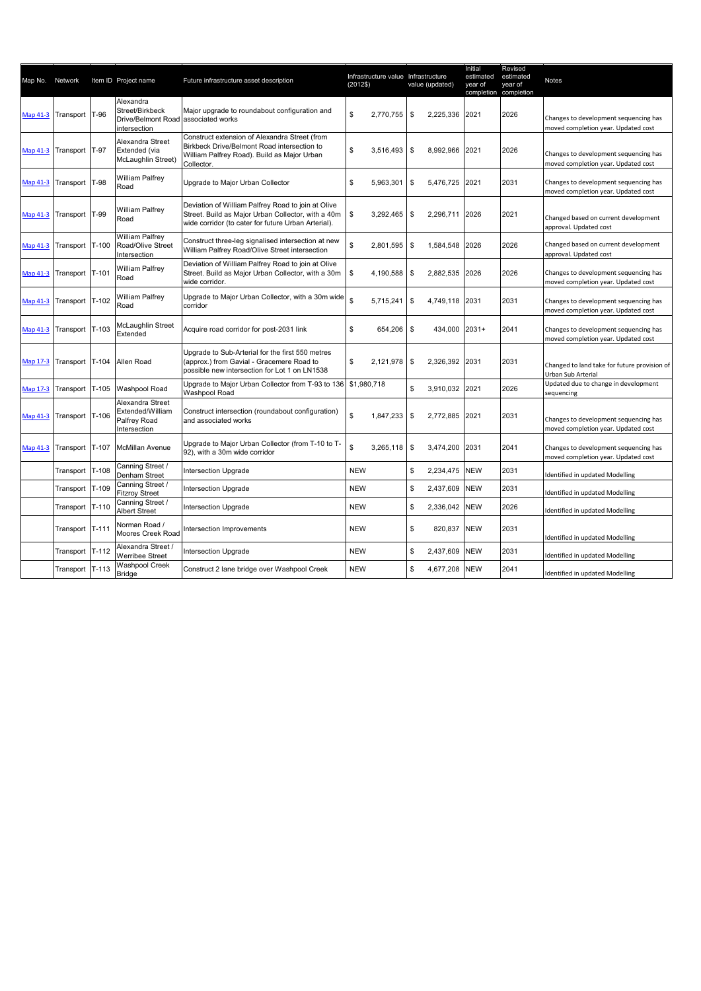| Map No. Network |                          |         | Item ID Project name                                                                | Future infrastructure asset description                                                                                                                         | (2012\$)   | Infrastructure value Infrastructure | value (updated) |                | Initial<br>estimated<br>vear of<br>completion completion | Revised<br>estimated<br>vear of | Notes                                                                        |
|-----------------|--------------------------|---------|-------------------------------------------------------------------------------------|-----------------------------------------------------------------------------------------------------------------------------------------------------------------|------------|-------------------------------------|-----------------|----------------|----------------------------------------------------------|---------------------------------|------------------------------------------------------------------------------|
| Map 41-3        | Transport T-96           |         | Alexandra<br>Street/Birkbeck<br>Drive/Belmont Road associated works<br>intersection | Major upgrade to roundabout configuration and                                                                                                                   | \$         | 2,770,755                           | \$              | 2,225,336      | 2021                                                     | 2026                            | Changes to development sequencing has<br>moved completion year. Updated cost |
| Map 41-3        | Transport                | T-97    | Alexandra Street<br>Extended (via<br>McLaughlin Street)                             | Construct extension of Alexandra Street (from<br>Birkbeck Drive/Belmont Road intersection to<br>William Palfrey Road). Build as Major Urban<br>Collector.       | \$         | 3,516,493                           | \$              | 8,992,966      | 2021                                                     | 2026                            | Changes to development sequencing has<br>moved completion year. Updated cost |
| Map 41-3        | Transport T-98           |         | <b>William Palfrey</b><br>Road                                                      | Upgrade to Major Urban Collector                                                                                                                                | \$         | 5,963,301                           | \$              | 5,476,725      | 2021                                                     | 2031                            | Changes to development sequencing has<br>moved completion year. Updated cost |
|                 | Map 41-3 Transport T-99  |         | William Palfrey<br>Road                                                             | Deviation of William Palfrey Road to join at Olive<br>Street. Build as Major Urban Collector, with a 40m<br>wide corridor (to cater for future Urban Arterial). | \$         | 3,292,465                           | \$              | 2,296,711      | 2026                                                     | 2021                            | Changed based on current development<br>approval. Updated cost               |
| Map 41-3        | Transport T-100          |         | William Palfrey<br>Road/Olive Street<br>Intersection                                | Construct three-leg signalised intersection at new<br>William Palfrey Road/Olive Street intersection                                                            | \$         | 2,801,595                           | \$              | 1,584,548      | 2026                                                     | 2026                            | Changed based on current development<br>approval. Updated cost               |
|                 | Map 41-3 Transport T-101 |         | William Palfrey<br>Road                                                             | Deviation of William Palfrey Road to join at Olive<br>Street. Build as Major Urban Collector, with a 30m<br>wide corridor.                                      | \$         | 4,190,588                           | \$              | 2,882,535      | 2026                                                     | 2026                            | Changes to development sequencing has<br>moved completion year. Updated cost |
| Map 41-3        | Transport T-102          |         | William Palfrey<br>Road                                                             | Upgrade to Major Urban Collector, with a 30m wide<br>corridor                                                                                                   | \$         | 5,715,241                           | \$              | 4,749,118      | 2031                                                     | 2031                            | Changes to development sequencing has<br>moved completion year. Updated cost |
| <b>Map 41-3</b> | Transport T-103          |         | McLaughlin Street<br>Extended                                                       | Acquire road corridor for post-2031 link                                                                                                                        | \$         | 654,206                             | \$              | 434,000        | $2031+$                                                  | 2041                            | Changes to development sequencing has<br>moved completion year. Updated cost |
| Map 17-3        | Transport T-104          |         | Allen Road                                                                          | Upgrade to Sub-Arterial for the first 550 metres<br>(approx.) from Gavial - Gracemere Road to<br>possible new intersection for Lot 1 on LN1538                  | \$         | 2,121,978                           | \$              | 2,326,392      | 2031                                                     | 2031                            | Changed to land take for future provision of<br>Urban Sub Arterial           |
| Map 17-3        | Transport T-105          |         | Washpool Road                                                                       | Upgrade to Major Urban Collector from T-93 to 136<br>Washpool Road                                                                                              |            | \$1,980,718                         | \$              | 3,910,032 2021 |                                                          | 2026                            | Updated due to change in development<br>sequencing                           |
|                 | Map 41-3 Transport T-106 |         | Alexandra Street<br>Extended/William<br>Palfrey Road<br>Intersection                | Construct intersection (roundabout configuration)<br>and associated works                                                                                       | \$         | 1,847,233                           | \$              | 2,772,885      | 2021                                                     | 2031                            | Changes to development sequencing has<br>moved completion year. Updated cost |
| Map 41-3        | Transport                | $T-107$ | <b>McMillan Avenue</b>                                                              | Upgrade to Major Urban Collector (from T-10 to T-<br>92), with a 30m wide corridor                                                                              | \$         | 3,265,118                           | $\sqrt{3}$      | 3,474,200      | 2031                                                     | 2041                            | Changes to development sequencing has<br>moved completion year. Updated cost |
|                 | Transport                | $T-108$ | Canning Street /<br>Denham Street                                                   | <b>Intersection Upgrade</b>                                                                                                                                     | <b>NEW</b> |                                     | \$              | 2,234,475      | <b>NEW</b>                                               | 2031                            | Identified in updated Modelling                                              |
|                 | Transport                | $T-109$ | Canning Street /<br><b>Fitzroy Street</b>                                           | Intersection Upgrade                                                                                                                                            | <b>NEW</b> |                                     | \$              | 2,437,609      | <b>NEW</b>                                               | 2031                            | Identified in updated Modelling                                              |
|                 | Transport                | $T-110$ | Canning Street /<br>Albert Street                                                   | Intersection Upgrade                                                                                                                                            | <b>NEW</b> |                                     | \$              | 2,336,042      | <b>NEW</b>                                               | 2026                            | Identified in updated Modelling                                              |
|                 | Transport T-111          |         | Norman Road /<br>Moores Creek Road                                                  | Intersection Improvements                                                                                                                                       | <b>NEW</b> |                                     | \$              | 820,837        | <b>NEW</b>                                               | 2031                            | Identified in updated Modelling                                              |
|                 | Transport                | $T-112$ | Alexandra Street /<br><b>Werribee Street</b>                                        | Intersection Upgrade                                                                                                                                            | <b>NEW</b> |                                     | \$              | 2,437,609      | <b>NEW</b>                                               | 2031                            | Identified in updated Modelling                                              |
|                 | Transport T-113          |         | <b>Washpool Creek</b><br><b>Bridge</b>                                              | Construct 2 lane bridge over Washpool Creek                                                                                                                     | <b>NEW</b> |                                     | \$              | 4,677,208      | <b>NEW</b>                                               | 2041                            | Identified in updated Modelling                                              |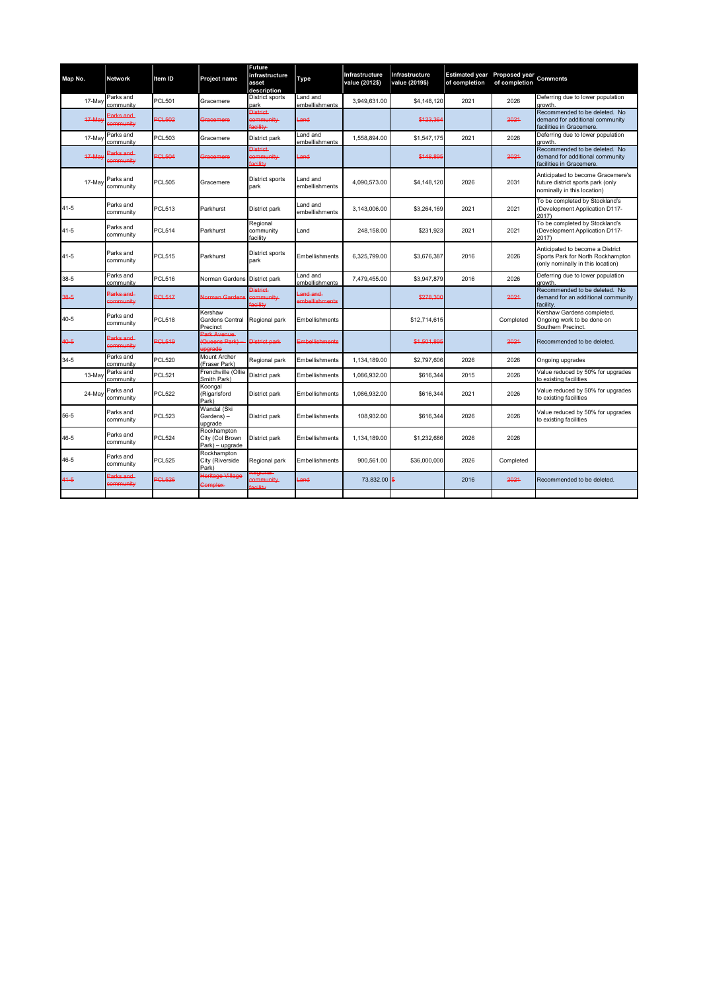| Map No.  | <b>Network</b>               | Item ID        | Project name                                      | Future<br>infrastructure<br>asset<br>description | Type                            | Infrastructure<br>value (2012\$) | Infrastructure<br>value (2019\$) | Estimated year Proposed year Comments<br>of completion | of completion |                                                                                                           |
|----------|------------------------------|----------------|---------------------------------------------------|--------------------------------------------------|---------------------------------|----------------------------------|----------------------------------|--------------------------------------------------------|---------------|-----------------------------------------------------------------------------------------------------------|
| 17-Ma    | Parks and<br>community       | <b>PCL501</b>  | Gracemere                                         | District sports<br>park                          | Land and<br>embellishments      | 3,949,631.00                     | \$4,148,120                      | 2021                                                   | 2026          | Deferring due to lower population<br>arowth.                                                              |
| $47-Ma$  | Parks and<br>sommunity       | <b>PCL502</b>  | Gracemere                                         | <b>District</b><br>sommunity<br>acility          | Land                            |                                  | \$123.36                         |                                                        | 2021          | Recommended to be deleted. No<br>demand for additional community<br>facilities in Gracemere.              |
| 17-Ma    | Parks and<br>community       | <b>PCL503</b>  | Gracemere                                         | District park                                    | and and<br>embellishments       | 1.558.894.00                     | \$1,547,175                      | 2021                                                   | 2026          | Deferring due to lower population<br>arowth                                                               |
| 17 May   | Parks and<br><b>ommunity</b> | <b>PCL504</b>  | Gracemere                                         | <b>District</b><br>community<br>acility          | and                             |                                  | \$148,895                        |                                                        | 2021          | Recommended to be deleted. No<br>demand for additional community<br>facilities in Gracemere.              |
| 17-May   | Parks and<br>community       | <b>PCL505</b>  | Gracemere                                         | District sports<br>park                          | Land and<br>embellishments      | 4,090,573.00                     | \$4,148,120                      | 2026                                                   | 2031          | Anticipated to become Gracemere's<br>future district sports park (only<br>nominally in this location)     |
| $41 - 5$ | Parks and<br>community       | <b>PCL513</b>  | Parkhurst                                         | District park                                    | Land and<br>embellishments      | 3,143,006.00                     | \$3,264,169                      | 2021                                                   | 2021          | To be completed by Stockland's<br>Development Application D117-<br>2017)                                  |
| $41 - 5$ | Parks and<br>community       | <b>PCL514</b>  | Parkhurst                                         | Regional<br>community<br>facilitv                | Land                            | 248,158.00                       | \$231,923                        | 2021                                                   | 2021          | To be completed by Stockland's<br>Development Application D117-<br>2017)                                  |
| $41 - 5$ | Parks and<br>community       | <b>PCL515</b>  | Parkhurst                                         | District sports<br>park                          | Embellishments                  | 6.325.799.00                     | \$3,676,387                      | 2016                                                   | 2026          | Anticipated to become a District<br>Sports Park for North Rockhampton<br>only nominally in this location) |
| 38-5     | Parks and<br>community       | <b>PCL516</b>  | Norman Gardens                                    | District park                                    | and and<br>embellishments       | 7,479,455.00                     | \$3,947,879                      | 2016                                                   | 2026          | Deferring due to lower population<br>arowth                                                               |
| 38-5     | Parks and<br>sommunity       | <b>PGI 517</b> | Jorman Gardens                                    | District<br>emmunity<br>acility                  | and and<br><b>mbellishments</b> |                                  | \$278.306                        |                                                        | 2021          | Recommended to be deleted. No<br>demand for an additional community<br>acility.                           |
| $40 - 5$ | Parks and<br>community       | <b>PCL518</b>  | Kershaw<br>Gardens Central<br>Precinct            | Regional park                                    | Embellishments                  |                                  | \$12,714,615                     |                                                        | Completed     | Kershaw Gardens completed.<br>Ongoing work to be done on<br>Southern Precinct                             |
| 40-5     | Parks and<br>sommunity       | <b>PCL519</b>  | Park Avenue<br>(Queens Park)<br><b>ingrade</b>    | District park                                    | Embellishments                  |                                  | \$1,501.89                       |                                                        | 2021          | Recommended to be deleted.                                                                                |
| $34 - 5$ | Parks and<br>community       | <b>PCL520</b>  | <b>Mount Archer</b><br>(Fraser Park)              | Regional park                                    | Embellishments                  | 1,134,189.00                     | \$2,797,606                      | 2026                                                   | 2026          | Ongoing upgrades                                                                                          |
| $13-Ma$  | Parks and<br>community       | <b>PCL521</b>  | Frenchville (Ollie<br>Smith Park)                 | District park                                    | Embellishments                  | 1.086.932.00                     | \$616,344                        | 2015                                                   | 2026          | Value reduced by 50% for upgrades<br>to existing facilities                                               |
| 24-May   | Parks and<br>community       | <b>PCL522</b>  | Koongal<br>(Rigarlsford<br>Park)                  | District park                                    | Embellishments                  | 1,086,932.00                     | \$616,344                        | 2021                                                   | 2026          | Value reduced by 50% for upgrades<br>o existing facilities                                                |
| 56-5     | Parks and<br>community       | <b>PCL523</b>  | Wandal (Ski<br>Gardens) -<br>upgrade              | District park                                    | Embellishments                  | 108.932.00                       | \$616,344                        | 2026                                                   | 2026          | Value reduced by 50% for upgrades<br>to existing facilities                                               |
| 46-5     | Parks and<br>community       | <b>PCL524</b>  | Rockhampton<br>City (Col Brown<br>Park) - upgrade | District park                                    | Embellishments                  | 1,134,189.00                     | \$1,232,686                      | 2026                                                   | 2026          |                                                                                                           |
| $46 - 5$ | Parks and<br>community       | <b>PCL525</b>  | Rockhampton<br>City (Riverside<br>Park)           | Regional park                                    | Embellishments                  | 900.561.00                       | \$36,000,000                     | 2026                                                   | Completed     |                                                                                                           |
| $41-5$   | Parks and<br>sommunity       | <b>PGI 526</b> | Heritage Village<br><b>Complex</b>                | ommunity<br>Little.                              | Land                            | 73,832.00 \$                     |                                  | 2016                                                   | 2021          | Recommended to be deleted.                                                                                |
|          |                              |                |                                                   |                                                  |                                 |                                  |                                  |                                                        |               |                                                                                                           |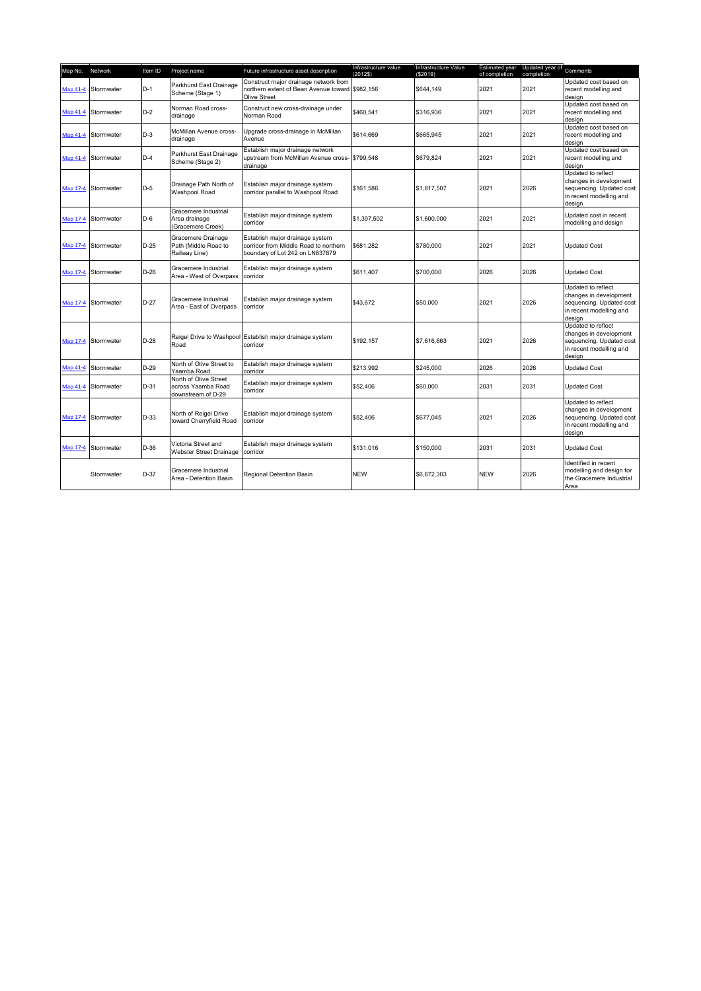| Map No.  | Network             | Item ID | Project name                                                      | Future infrastructure asset description                                                                     | Infrastructure value<br>(2012\$) | Infrastructure Value<br>(\$2019) | Estimated year<br>of completion | Updated year of Comments<br>completion |                                                                                                               |
|----------|---------------------|---------|-------------------------------------------------------------------|-------------------------------------------------------------------------------------------------------------|----------------------------------|----------------------------------|---------------------------------|----------------------------------------|---------------------------------------------------------------------------------------------------------------|
|          | Map 41-4 Stormwater | $D-1$   | Parkhurst East Drainage<br>Scheme (Stage 1)                       | Construct major drainage network from<br>northern extent of Bean Avenue toward \$982,156<br>Olive Street    |                                  | \$644,149                        | 2021                            | 2021                                   | Updated cost based on<br>recent modelling and<br>design                                                       |
|          | Map 41-4 Stormwater | $D-2$   | Norman Road cross-<br>drainage                                    | Construct new cross-drainage under<br>Norman Road                                                           | \$460,541                        | \$316,936                        | 2021                            | 2021                                   | Updated cost based on<br>recent modelling and<br>design                                                       |
|          | Map 41-4 Stormwater | $D-3$   | McMillan Avenue cross-<br>drainage                                | Upgrade cross-drainage in McMillan<br>Avenue                                                                | \$614,669                        | \$665,945                        | 2021                            | 2021                                   | Updated cost based on<br>recent modelling and<br>design                                                       |
|          | Map 41-4 Stormwater | $D-4$   | Parkhurst East Drainage<br>Scheme (Stage 2)                       | Establish major drainage network<br>upstream from McMillan Avenue cross- \$799,548<br>drainage              |                                  | \$679,824                        | 2021                            | 2021                                   | Updated cost based on<br>recent modelling and<br>design                                                       |
|          | Map 17-4 Stormwater | $D-5$   | Drainage Path North of<br>Washpool Road                           | Establish major drainage system<br>corridor parallel to Washpool Road                                       | \$161.586                        | \$1,817,507                      | 2021                            | 2026                                   | Updated to reflect<br>changes in development<br>sequencing. Updated cost<br>in recent modelling and<br>design |
|          | Map 17-4 Stormwater | $D-6$   | Gracemere Industrial<br>Area drainage<br>(Gracemere Creek)        | Establish major drainage system<br>corridor                                                                 | \$1,397.502                      | \$1,600,000                      | 2021                            | 2021                                   | Updated cost in recent<br>modelling and design                                                                |
| Map 17-4 | Stormwater          | $D-25$  | Gracemere Drainage<br>Path (Middle Road to<br>Railway Line)       | Establish major drainage system<br>corridor from Middle Road to northern<br>boundary of Lot 242 on LN837879 | \$681.282                        | \$780,000                        | 2021                            | 2021                                   | <b>Updated Cost</b>                                                                                           |
|          | Map 17-4 Stormwater | $D-26$  | Gracemere Industrial<br>Area - West of Overpass                   | Establish major drainage system<br>corridor                                                                 | \$611,407                        | \$700,000                        | 2026                            | 2026                                   | <b>Updated Cost</b>                                                                                           |
|          | Map 17-4 Stormwater | $D-27$  | Gracemere Industrial<br>Area - East of Overpass                   | Establish major drainage system<br>corridor                                                                 | \$43,672                         | \$50,000                         | 2021                            | 2026                                   | Updated to reflect<br>changes in development<br>sequencing. Updated cost<br>in recent modelling and<br>design |
| Map 17-4 | Stormwater          | $D-28$  | Road                                                              | Reigel Drive to Washpool Establish major drainage system<br>corridor                                        | \$192,157                        | \$7.616.663                      | 2021                            | 2026                                   | Updated to reflect<br>changes in development<br>sequencing. Updated cost<br>in recent modelling and<br>design |
|          | Map 41-4 Stormwater | $D-29$  | North of Olive Street to<br>Yaamba Road                           | Establish major drainage system<br>corridor                                                                 | \$213,992                        | \$245,000                        | 2026                            | 2026                                   | <b>Updated Cost</b>                                                                                           |
|          | Map 41-4 Stormwater | $D-31$  | North of Olive Street<br>across Yaamba Road<br>downstream of D-29 | Establish major drainage system<br>corridor                                                                 | \$52,406                         | \$60,000                         | 2031                            | 2031                                   | <b>Updated Cost</b>                                                                                           |
|          | Map 17-4 Stormwater | $D-33$  | North of Reigel Drive<br>toward Cherryfield Road                  | Establish major drainage system<br>corridor                                                                 | \$52,406                         | \$677,045                        | 2021                            | 2026                                   | Updated to reflect<br>changes in development<br>sequencing. Updated cost<br>in recent modelling and<br>design |
|          | Map 17-4 Stormwater | $D-36$  | Victoria Street and<br>Webster Street Drainage                    | Establish major drainage system<br>corridor                                                                 | \$131.016                        | \$150,000                        | 2031                            | 2031                                   | <b>Updated Cost</b>                                                                                           |
|          | Stormwater          | $D-37$  | Gracemere Industrial<br>Area - Detention Basin                    | Regional Detention Basin                                                                                    | <b>NEW</b>                       | \$6,672,303                      | <b>NEW</b>                      | 2026                                   | Identified in recent<br>modelling and design for<br>the Gracemere Industrial<br>Area                          |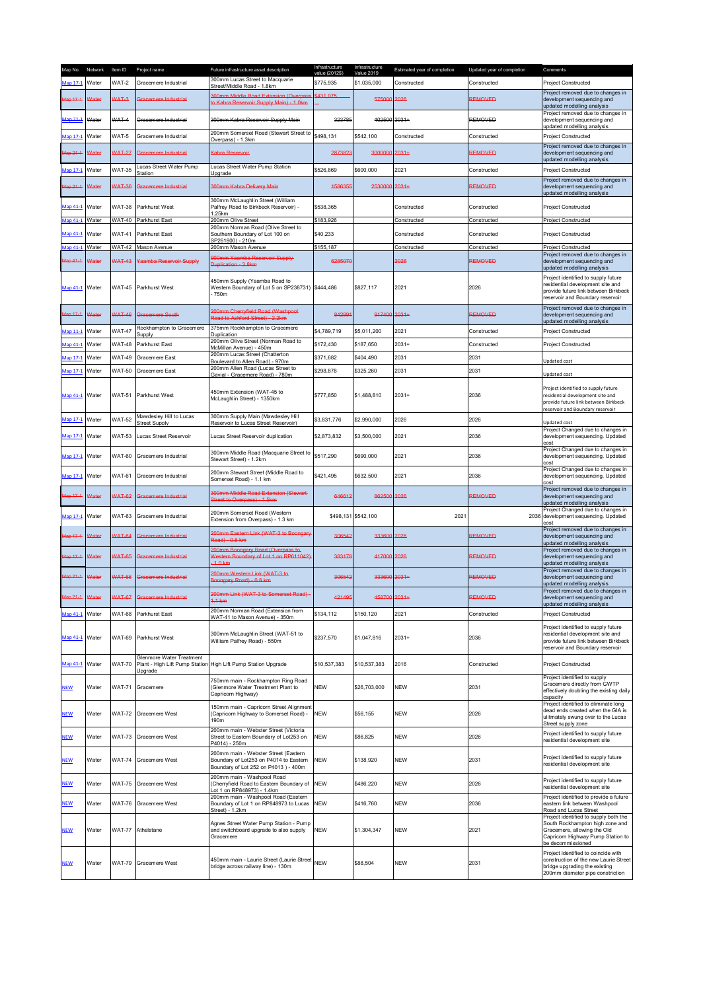| Map No.                | Network      | Item ID       | Project name                                    | Future infrastructure asset description                                                                                 | Infrastructure<br>value (2012\$) | Infrastructure<br>Value 2019 | Estimated year of completion | Updated year of completion | Comments                                                                                                                                                          |
|------------------------|--------------|---------------|-------------------------------------------------|-------------------------------------------------------------------------------------------------------------------------|----------------------------------|------------------------------|------------------------------|----------------------------|-------------------------------------------------------------------------------------------------------------------------------------------------------------------|
| Aap 17-1               | Water        | WAT-2         | Gracemere Industrial                            | 300mm Lucas Street to Macquarie                                                                                         | \$775.935                        | \$1,035,000                  | Constructed                  | Constructed                | <b>Project Constructed</b>                                                                                                                                        |
| lap 17-1               | <b>Matar</b> | WAT-3         | <b>Gracemere Industrial</b>                     | Street/Middle Road - 1.8km<br><b>300mm Middle Road Extension (Overpas</b><br>to Kabra Reservoir Supply Main) - 1.0km    | \$431.075                        | 575000                       | 2026                         | REMOVED                    | Project removed due to changes in<br>development sequencing and<br>updated modelling analysis                                                                     |
| Aap 21-1               | Water        | WAT-4         | Gracemere Industrial                            | 300mm Kabra Reservoir Supply Main                                                                                       | 323785                           | 402500 2031+                 |                              | <b>REMOVED</b>             | Project removed due to changes in<br>development sequencing and                                                                                                   |
| Aap 17-1               | Water        | WAT-5         | Gracemere Industrial                            | 200mm Somerset Road (Stewart Street to                                                                                  | \$498,131                        | \$542,100                    | Constructed                  | Constructed                | updated modelling analysis<br>Project Constructed                                                                                                                 |
| Aap 21-1               | <b>Nater</b> | <b>WAT-27</b> | Gracemere Industrial                            | Overpass) - 1.3km<br>Kahra Reservoir                                                                                    | 2873823                          | 3000000 2031+                |                              | <b>REMOVED</b>             | Project removed due to changes in<br>development sequencing and                                                                                                   |
|                        |              |               | Lucas Street Water Pump                         | Lucas Street Water Pump Station                                                                                         |                                  |                              |                              |                            | updated modelling analysis                                                                                                                                        |
| Aap 17-1<br>$4ap.21-1$ | Water        | <b>WAT-35</b> | Station<br><b>Sracemere Industrial</b>          | Upgrade                                                                                                                 | \$526,869<br>158635              | \$600,000                    | 2021                         | Constructed                | Project Constructed<br>Project removed due to changes in                                                                                                          |
|                        | Water        | <b>WAT-36</b> |                                                 | <b>300mm Kabra Delivery Main</b><br>300mm McLaughlin Street (William                                                    |                                  | 2530000 2031+                |                              | <b>REMOVED</b>             | development sequencing and<br>updated modelling analysis                                                                                                          |
| Map 41-1               | Water        | <b>WAT-38</b> | Parkhurst West                                  | Palfrey Road to Birkbeck Reservoir) -<br>1.25km                                                                         | \$538,365                        |                              | Constructed                  | Constructed                | Project Constructed                                                                                                                                               |
| Aap 41-1               | Water        | <b>WAT-40</b> | Parkhurst East                                  | 200mm Olive Street<br>200mm Norman Road (Olive Street to                                                                | \$183,926                        |                              | Constructed                  | Constructed                | Project Constructed                                                                                                                                               |
| Map 41-1               | Water        | WAT-41        | Parkhurst East                                  | Southern Boundary of Lot 100 on<br>SP261800) - 210m                                                                     | \$40,233                         |                              | Constructed                  | Constructed                | <b>Project Constructed</b>                                                                                                                                        |
| Aap 41-1               | Water        | <b>WAT-42</b> | Mason Avenue                                    | 200mm Mason Avenue                                                                                                      | \$155,187                        |                              | Constructed                  | Constructed                | Project Constructed                                                                                                                                               |
| $\frac{4}{9}$ 41-1     | Vater        | <b>WAT-43</b> | aamba Reservoir Supply                          | 900mm Yaamba Reservoir Supply<br>Duplication - 3.8km                                                                    | 6285070                          |                              | 2026                         | <b>REMOVED</b>             | Project removed due to changes in<br>development sequencing and<br>updated modelling analysis                                                                     |
| Map 41-1               | Water        | <b>WAT-45</b> | Parkhurst West                                  | 450mm Supply (Yaamba Road to<br>Western Boundary of Lot 5 on SP238731) \$444,486<br>750m                                |                                  | \$827,117                    | 2021                         | 2026                       | Project identified to supply future<br>residential development site and<br>provide future link between Birkbeck<br>reservoir and Boundary reservoir               |
| Aap 17-1               | <b>Nater</b> | <b>WAT-46</b> | <b>Gracemere South</b>                          | 200mm Cherryfield Road (Washpool-<br>Road to Ashford Street) - 2.2km                                                    | 842991                           | 917400 2031+                 |                              | <b>REMOVED</b>             | Project removed due to changes in<br>development sequencing and<br>updated modelling analysis                                                                     |
| Aap 11-1               | Water        | <b>WAT-47</b> | Rockhampton to Gracemere<br>Supply              | 375mm Rockhampton to Gracemere<br>Duplication                                                                           | \$4,789,719                      | \$5,011,200                  | 2021                         | Constructed                | Project Constructed                                                                                                                                               |
| Aap 41-1               | Water        | <b>WAT-48</b> | Parkhurst East                                  | 200mm Olive Street (Norman Road to                                                                                      | \$172,430                        | \$187,650                    | $2031+$                      | Constructed                | Project Constructed                                                                                                                                               |
| Aap 17-1               | Water        | <b>WAT-49</b> | Gracemere East                                  | McMillan Avenue) - 450m<br>200mm Lucas Street (Chatterton                                                               | \$371,682                        | \$404,490                    | 2031                         | 2031                       |                                                                                                                                                                   |
|                        |              |               |                                                 | Boulevard to Allen Road) - 970m<br>200mm Allen Road (Lucas Street to                                                    |                                  |                              |                              |                            | Updated cost                                                                                                                                                      |
| Aap 17-1               | Water        | <b>WAT-50</b> | <b>Gracemere East</b>                           | Gavial - Gracemere Road) - 780m                                                                                         | \$298,878                        | \$325,260                    | 2031                         | 2031                       | Updated cost<br>Project identified to supply future                                                                                                               |
| Map 41-1               | Water        | <b>WAT-51</b> | Parkhurst West                                  | 450mm Extension (WAT-45 to<br>McLaughlin Street) - 1350km                                                               | \$777,850                        | \$1,488,810                  | $2031 +$                     | 2036                       | residential development site and<br>provide future link between Birkbeck<br>reservoir and Boundary reservoir                                                      |
| Aap 17-1               | Water        | <b>WAT-52</b> | Mawdesley Hill to Lucas<br><b>Street Supply</b> | 300mm Supply Main (Mawdesley Hill<br>Reservoir to Lucas Street Reservoir)                                               | \$3,831,776                      | \$2,990,000                  | 2026                         | 2026                       | Updated cost                                                                                                                                                      |
|                        |              |               |                                                 |                                                                                                                         |                                  |                              |                              |                            | Project Changed due to changes in                                                                                                                                 |
| Map 17-1               | Water        | <b>WAT-53</b> | <b>Lucas Street Reservoir</b>                   | Lucas Street Reservoir duplication                                                                                      | \$2,873,832                      | \$3,500,000                  | 2021                         | 2036                       | development sequencing. Updated<br>cost                                                                                                                           |
| Aap 17-1               | Water        | <b>WAT-60</b> | Gracemere Industrial                            | 300mm Middle Road (Macquarie Street to<br>Stewart Street) - 1.2km                                                       | \$517,290                        | \$690,000                    | 2021                         | 2036                       | Project Changed due to changes in<br>development sequencing. Updated<br>cost                                                                                      |
| Aap 17-1               | Water        | <b>WAT-61</b> | Gracemere Industrial                            | 200mm Stewart Street (Middle Road to<br>Somerset Road) - 1.1 km                                                         | \$421,495                        | \$632,500                    | 2021                         | 2036                       | Project Changed due to changes in<br>development sequencing. Updated<br>cost                                                                                      |
| Aap 17-1               | <b>Nater</b> | <b>WAT-62</b> | Gracemere Industrial                            | 300mm Middle Road Extension (Stewart<br>Street to Overpass) - 1.5km                                                     | 646612                           | 862500 2026                  |                              | <b>REMOVED</b>             | Project removed due to changes in<br>development sequencing and<br>updated modelling analysis                                                                     |
| Map 17-1               | Water        | <b>WAT-63</b> | Gracemere Industrial                            | 200mm Somerset Road (Western<br>Extension from Overpass) - 1.3 km                                                       |                                  | \$498,131 \$542,100          | 2021                         |                            | Project Changed due to changes in<br>2036 development sequencing. Updated<br>cost                                                                                 |
| $Iap 17-1$             | Water        | <b>WAT-64</b> | <b>Sracemere Industrial</b>                     | 200mm Eastern Link (WAT-3 to Boongary<br>Road) - 0.8 km                                                                 | 30654                            | 333600 2026                  |                              | <b>REMOVED</b>             | Project removed due to changes in<br>development sequencing and<br>updated modelling analysis                                                                     |
| Aap 17-1               | Water        | <b>WAT-65</b> | <b>Sracemere Industrial</b>                     | 200mm Boongary Road (Overpass to<br>Western Boundary of Lot 1 on RP611042)<br>$1.0 \text{ km}$                          | 383178                           | 417000 2026                  |                              | REMOVED                    | Project removed due to changes in<br>development sequencing and<br>updated modelling analysis                                                                     |
| $\text{Aap}21-1$       | <b>Nater</b> | <b>WAT-66</b> | Gracemere Industrial                            | 200mm Western Link (WAT-3 to<br>Boongary Road) - 0.8 km                                                                 | 30654                            | 333600 2031+                 |                              | <b>REMOVED</b>             | Project removed due to changes in<br>development sequencing and<br>updated modelling analysis                                                                     |
| Aap 21-1               | <b>Matar</b> | <b>WAT-67</b> | Gracemere Industrial                            | 200mm Link (WAT-3 to Somerset Road) -<br>$4.1 \text{ km}$                                                               | 421495                           | 458700 2031+                 |                              | <b>REMOVED</b>             | Project removed due to changes in<br>development sequencing and<br>updated modelling analysis                                                                     |
| Map 41-1               | Water        | <b>WAT-68</b> | Parkhurst East                                  | 200mm Norman Road (Extension from<br>WAT-41 to Mason Avenue) - 350m                                                     | \$134,112                        | \$150,120                    | 2021                         | Constructed                | Project Constructed                                                                                                                                               |
| Map 41-1               | Water        | <b>WAT-69</b> | Parkhurst West                                  | 300mm McLaughlin Street (WAT-51 to<br>William Palfrey Road) - 550m                                                      | \$237,570                        | \$1,047,816                  | $2031+$                      | 2036                       | Project identified to supply future<br>residential development site and<br>provide future link between Birkbeck<br>reservoir and Boundary reservoir               |
| Map 41-1               | Water        | <b>WAT-70</b> | Glenmore Water Treatment<br>Upgrade             | Plant - High Lift Pump Station High Lift Pump Station Upgrade                                                           | \$10,537,383                     | \$10,537,383                 | 2016                         | Constructed                | Project Constructed                                                                                                                                               |
| <b>NEW</b>             | Water        | <b>WAT-71</b> | Gracemere                                       | 750mm main - Rockhampton Ring Road<br>(Glenmore Water Treatment Plant to<br>Capricorn Highway)                          | <b>NEW</b>                       | \$26,703,000                 | NEW                          | 2031                       | Project identified to supply<br>Gracemere directly from GWTP<br>effectively doubling the existing daily<br>capacity                                               |
| <b>NEW</b>             | Water        | <b>WAT-72</b> | Gracemere West                                  | 150mm main - Capricorn Street Alignment<br>(Capricorn Highway to Somerset Road) -<br>190m                               | <b>NEW</b>                       | \$56,155                     | <b>NEW</b>                   | 2026                       | Project identified to eliminate long<br>dead ends created when the GIA is<br>ulitmately swung over to the Lucas<br>Street supply zone                             |
| <b>NEW</b>             | Water        | <b>WAT-73</b> | Gracemere West                                  | 200mm main - Webster Street (Victoria<br>Street to Eastern Boundary of Lot253 on<br>P4014) - 250m                       | <b>NEW</b>                       | \$86,825                     | <b>NEW</b>                   | 2026                       | Project identified to supply future<br>residential development site                                                                                               |
| <b>NEW</b>             | Water        | <b>WAT-74</b> | Gracemere West                                  | 200mm main - Webster Street (Eastern<br>Boundary of Lot253 on P4014 to Eastern<br>Boundary of Lot 252 on P4013 ) - 400m | <b>NEW</b>                       | \$138,920                    | <b>NEW</b>                   | 2031                       | Project identified to supply future<br>residential development site                                                                                               |
| <b>NEW</b>             | Water        | <b>WAT-75</b> | Gracemere West                                  | 200mm main - Washpool Road<br>(Cherryfield Road to Eastern Boundary of<br>Lot 1 on RP848973) - 1.4km                    | <b>NEW</b>                       | \$486,220                    | NEW                          | 2026                       | Project identified to supply future<br>residential development site                                                                                               |
| <u>NEW</u>             | Water        | <b>WAT-76</b> | Gracemere West                                  | 200mm main - Washpool Road (Eastern<br>Boundary of Lot 1 on RP848973 to Lucas<br>Street) - 1.2km                        | <b>NEW</b>                       | \$416,760                    | <b>NEW</b>                   | 2036                       | Project identified to provide a future<br>eastern link between Washpool<br>Road and Lucas Street                                                                  |
| <b>NEW</b>             | Water        | <b>WAT-77</b> | Athelstane                                      | Agnes Street Water Pump Station - Pump<br>and switchboard upgrade to also supply<br>Gracemere                           | <b>NEW</b>                       | \$1,304,347                  | <b>NEW</b>                   | 2021                       | Project identified to supply both the<br>South Rockhampton high zone and<br>Gracemere, allowing the Old<br>Capricorn Highway Pump Station to<br>be decommissioned |
| <b>NEW</b>             | Water        | <b>WAT-79</b> | Gracemere West                                  | 450mm main - Laurie Street (Laurie Street NEW<br>bridge across railway line) - 130m                                     |                                  | \$88,504                     | <b>NEW</b>                   | 2031                       | Project identified to coincide with<br>construction of the new Laurie Street<br>bridge upgrading the existing<br>200mm diameter pipe constriction                 |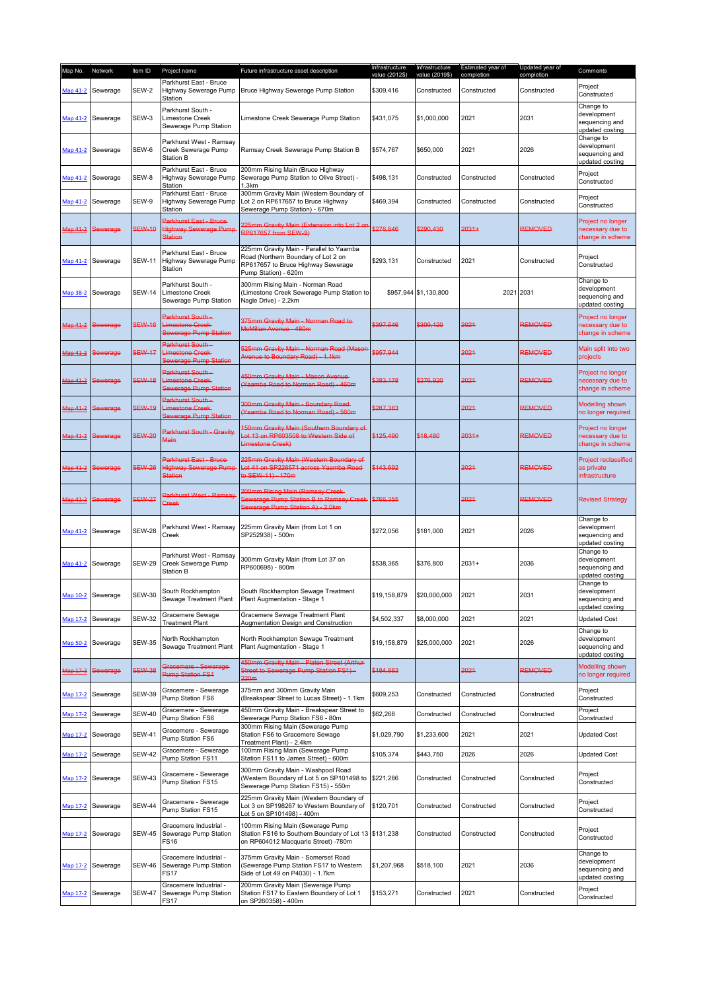| Map No.  | Network           | Item ID       | Project name                                                              | Future infrastructure asset description                                                                                                      | Infrastructure<br>value (2012\$) | Infrastructure<br>value (2019\$) | Estimated year of<br>completion | Updated year of<br>completion | Comments                                                      |
|----------|-------------------|---------------|---------------------------------------------------------------------------|----------------------------------------------------------------------------------------------------------------------------------------------|----------------------------------|----------------------------------|---------------------------------|-------------------------------|---------------------------------------------------------------|
| Map 41-2 | Sewerage          | SEW-2         | Parkhurst East - Bruce<br>Highway Sewerage Pump<br>Station                | Bruce Highway Sewerage Pump Station                                                                                                          | \$309,416                        | Constructed                      | Constructed                     | Constructed                   | Project<br>Constructed                                        |
| Map 41-2 | Sewerage          | SEW-3         | Parkhurst South -<br>Limestone Creek<br>Sewerage Pump Station             | Limestone Creek Sewerage Pump Station                                                                                                        | \$431,075                        | \$1,000,000                      | 2021                            | 2031                          | Change to<br>development<br>sequencing and<br>updated costing |
| Map 41-2 | Sewerage          | SEW-6         | Parkhurst West - Ramsay<br>Creek Sewerage Pump<br><b>Station B</b>        | Ramsay Creek Sewerage Pump Station B                                                                                                         | \$574,767                        | \$650,000                        | 2021                            | 2026                          | Change to<br>development<br>sequencing and<br>updated costing |
| Map 41-2 | Sewerage          | SEW-8         | Parkhurst East - Bruce<br>Highway Sewerage Pump<br>Station                | 200mm Rising Main (Bruce Highway<br>Sewerage Pump Station to Olive Street) -<br>1.3km                                                        | \$498,131                        | Constructed                      | Constructed                     | Constructed                   | Project<br>Constructed                                        |
| Map 41-2 | Sewerage          | SEW-9         | Parkhurst East - Bruce<br>Highway Sewerage Pump<br>Station                | 300mm Gravity Main (Western Boundary of<br>Lot 2 on RP617657 to Bruce Highway<br>Sewerage Pump Station) - 670m                               | \$469,394                        | Constructed                      | Constructed                     | Constructed                   | Project<br>Constructed                                        |
| Map 41-2 | Sewerage          | <b>SEW-10</b> | Parkhurst East - Bruce-<br><b>Highway Sewerage Pump</b><br><b>Station</b> | 225mm Gravity Main (Extension into Lot 2 or<br>RP617657 from SEW-9)                                                                          | \$276,846                        | \$290,430                        | $2031+$                         | <b>REMOVED</b>                | Project no longer<br>necessary due to<br>change in scheme     |
|          | Map 41-2 Sewerage | <b>SEW-11</b> | Parkhurst East - Bruce<br>Highway Sewerage Pump<br>Station                | 225mm Gravity Main - Parallel to Yaamba<br>Road (Northern Boundary of Lot 2 on<br>RP617657 to Bruce Highway Sewerage<br>Pump Station) - 620m | \$293,131                        | Constructed                      | 2021                            | Constructed                   | Project<br>Constructed                                        |
| Map 38-2 | Sewerage          | <b>SEW-14</b> | Parkhurst South -<br>Limestone Creek<br>Sewerage Pump Station             | 300mm Rising Main - Norman Road<br>(Limestone Creek Sewerage Pump Station to<br>Nagle Drive) - 2.2km                                         |                                  | \$957,944 \$1,130,800            | 2021                            | 2031                          | Change to<br>development<br>sequencing and<br>updated costing |
| Map 41-2 | Sewerage          | <b>SEW-16</b> | Parkhurst South-<br>Limestone Creek-<br>Sewerage Pump Station             | 375mm Gravity Main - Norman Road to<br>McMillan Avenue - 480m                                                                                | \$397,546                        | \$309,120                        | 2021                            | <b>REMOVED</b>                | Project no longer<br>necessary due to<br>change in scheme     |
| Map 41-2 | Sewerage          | <b>SEW-17</b> | <b>Parkhurst South -</b><br>imestone Creek-<br>Sewerage Pump Station      | 525mm Gravity Main - Norman Road (Mason<br>Avenue to Boundary Road) - 1.1km                                                                  | \$957,944                        |                                  | 2021                            | <b>REMOVED</b>                | Main split into two<br>projects                               |
| Map 41-2 | Sewerage          | <b>SEW-18</b> | Parkhurst South -<br>imestone Creek-<br>Sewerage Pump Station             | 450mm Gravity Main - Mason Avenue<br>(Yaamba Road to Norman Road) - 460m                                                                     | \$383,178                        | \$276,920                        | 2021                            | <b>REMOVED</b>                | Project no longer<br>necessary due to<br>change in scheme     |
| Map 41-2 | Sewerage          | <b>SEW-19</b> | Parkhurst South -<br>imestone Creek-<br>Sewerage Pump Station             | 300mm Gravity Main - Boundary Road-<br>(Yaamba Road to Norman Road) - 560m                                                                   | \$287,383                        |                                  | 2021                            | <b>REMOVED</b>                | Modelling shown<br>no longer required                         |
| Map 41-2 | Sewerage          | <b>SEW-20</b> | Parkhurst South - Gravity<br>Main                                         | 150mm Gravity Main (Southern Boundary of<br>ot 13 on RP603508 to Western Side of<br>Limestone Creek)                                         | \$125,490                        | \$18,480                         | $2031+$                         | <b>REMOVED</b>                | Project no longer<br>necessary due to<br>change in scheme     |
| Map 41-2 | Sewerage          | <b>SEW-26</b> | Parkhurst East - Bruce-<br><b>Highway Sewerage Pump</b><br><b>Station</b> | 225mm Gravity Main (Western Boundary of<br>Lot 41 on SP226571 across Yaamba Road<br>to SEW-11) - 170m                                        | \$143,692                        |                                  | 2021                            | <b>REMOVED</b>                | <b>Project reclassified</b><br>as private<br>infrastructure   |
| Map 41-2 | Sewerage          | <b>SEW-27</b> | Parkhurst West - Ramsay<br><b>Creek</b>                                   | 200mm Rising Main (Ramsay Creek-<br>Sewerage Pump Station B to Ramsay Creek<br>Sewerage Pump Station A) - 2.0km                              | \$766,355                        |                                  | 2021                            | <b>REMOVED</b>                | <b>Revised Strategy</b>                                       |
| Map 41-2 | Sewerage          | <b>SEW-28</b> | Parkhurst West - Ramsay<br>Creek                                          | 225mm Gravity Main (from Lot 1 on<br>SP252938) - 500m                                                                                        | \$272,056                        | \$181,000                        | 2021                            | 2026                          | Change to<br>development<br>sequencing and<br>updated costing |
|          | Map 41-2 Sewerage | <b>SEW-29</b> | Parkhurst West - Ramsay<br>Creek Sewerage Pump<br><b>Station B</b>        | 300mm Gravity Main (from Lot 37 on<br>RP600698) - 800m                                                                                       | \$538.365                        | \$376,800                        | $2031+$                         | 2036                          | Change to<br>development<br>sequencing and<br>updated costing |
|          | Map 10-2 Sewerage | <b>SEW-30</b> | South Rockhampton<br>Sewage Treatment Plant                               | South Rockhampton Sewage Treatment<br>Plant Augmentation - Stage 1                                                                           | \$19,158,879                     | \$20,000,000                     | 2021                            | 2031                          | Change to<br>development<br>sequencing and<br>updated costing |
| Map 17-2 | Sewerage          | <b>SEW-32</b> | Gracemere Sewage<br><b>Treatment Plant</b>                                | Gracemere Sewage Treatment Plant<br>Augmentation Design and Construction                                                                     | \$4,502,337                      | \$8,000,000                      | 2021                            | 2021                          | <b>Updated Cost</b>                                           |
|          | Map 50-2 Sewerage | <b>SEW-35</b> | North Rockhampton<br>Sewage Treatment Plant                               | North Rockhampton Sewage Treatment<br>Plant Augmentation - Stage 1                                                                           | \$19,158,879                     | \$25,000,000                     | 2021                            | 2026                          | Change to<br>development<br>sequencing and<br>updated costing |
|          | Map 17-2 Sewerage | <b>SEW-38</b> | <b>Gracemere - Sewerage</b><br><b>Pump Station FS1</b>                    | 450mm Gravity Main - Platen Street (Arthur<br>Street to Sewerage Pump Station FS1)-<br>220m                                                  | \$184,883                        |                                  | 2021                            | <b>REMOVED</b>                | Modelling shown<br>no longer required                         |
| Map 17-2 | Sewerage          | <b>SEW-39</b> | Gracemere - Sewerage<br>Pump Station FS6                                  | 375mm and 300mm Gravity Main<br>(Breakspear Street to Lucas Street) - 1.1km                                                                  | \$609,253                        | Constructed                      | Constructed                     | Constructed                   | Project<br>Constructed                                        |
| Map 17-2 | Sewerage          | <b>SEW-40</b> | Gracemere - Sewerage<br>Pump Station FS6                                  | 450mm Gravity Main - Breakspear Street to<br>Sewerage Pump Station FS6 - 80m                                                                 | \$62,268                         | Constructed                      | Constructed                     | Constructed                   | Project<br>Constructed                                        |
|          | Map 17-2 Sewerage | <b>SEW-41</b> | Gracemere - Sewerage<br>Pump Station FS6                                  | 300mm Rising Main (Sewerage Pump<br>Station FS6 to Gracemere Sewage<br>Treatment Plant) - 2.4km                                              | \$1,029,790                      | \$1,233,600                      | 2021                            | 2021                          | <b>Updated Cost</b>                                           |
| Map 17-2 | Sewerage          | <b>SEW-42</b> | Gracemere - Sewerage<br>Pump Station FS11                                 | 100mm Rising Main (Sewerage Pump<br>Station FS11 to James Street) - 600m                                                                     | \$105,374                        | \$443,750                        | 2026                            | 2026                          | <b>Updated Cost</b>                                           |
|          | Map 17-2 Sewerage | <b>SEW-43</b> | Gracemere - Sewerage<br>Pump Station FS15                                 | 300mm Gravity Main - Washpool Road<br>(Western Boundary of Lot 5 on SP101498 to<br>Sewerage Pump Station FS15) - 550m                        | \$221,286                        | Constructed                      | Constructed                     | Constructed                   | Project<br>Constructed                                        |
|          | Map 17-2 Sewerage | <b>SEW-44</b> | Gracemere - Sewerage<br>Pump Station FS15                                 | 225mm Gravity Main (Western Boundary of<br>Lot 3 on SP198267 to Western Boundary of<br>Lot 5 on SP101498) - 400m                             | \$120,701                        | Constructed                      | Constructed                     | Constructed                   | Project<br>Constructed                                        |
|          | Map 17-2 Sewerage | <b>SEW-45</b> | Gracemere Industrial -<br>Sewerage Pump Station<br><b>FS16</b>            | 100mm Rising Main (Sewerage Pump<br>Station FS16 to Southern Boundary of Lot 13 \$131,238<br>on RP604012 Macquarie Street) -780m             |                                  | Constructed                      | Constructed                     | Constructed                   | Project<br>Constructed                                        |
|          | Map 17-2 Sewerage | <b>SEW-46</b> | Gracemere Industrial -<br>Sewerage Pump Station<br><b>FS17</b>            | 375mm Gravity Main - Somerset Road<br>(Sewerage Pump Station FS17 to Western<br>Side of Lot 49 on P4030) - 1.7km                             | \$1,207,968                      | \$518,100                        | 2021                            | 2036                          | Change to<br>development<br>sequencing and<br>updated costing |
|          | Map 17-2 Sewerage | <b>SEW-47</b> | Gracemere Industrial -<br>Sewerage Pump Station<br>FS17                   | 200mm Gravity Main (Sewerage Pump<br>Station FS17 to Eastern Boundary of Lot 1<br>on SP260358) - 400m                                        | \$153,271                        | Constructed                      | 2021                            | Constructed                   | Project<br>Constructed                                        |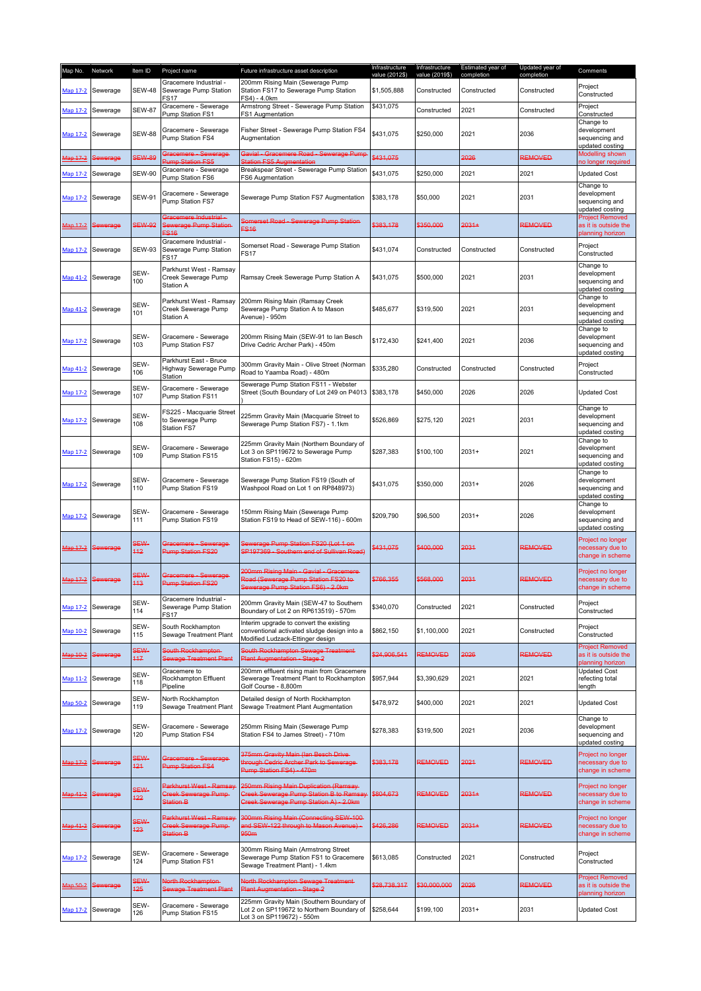| Map No.         | Network           | Item ID            | Project name                                                                | Future infrastructure asset description                                                                                            | Infrastructure<br>value (2012\$) | Infrastructure<br>value (2019\$) | Estimated year of<br>completion | Updated year of<br>completion | Comments                                                           |
|-----------------|-------------------|--------------------|-----------------------------------------------------------------------------|------------------------------------------------------------------------------------------------------------------------------------|----------------------------------|----------------------------------|---------------------------------|-------------------------------|--------------------------------------------------------------------|
| Map 17-2        | Sewerage          | <b>SEW-48</b>      | Gracemere Industrial -<br>Sewerage Pump Station<br>FS17                     | 200mm Rising Main (Sewerage Pump<br>Station FS17 to Sewerage Pump Station<br>FS4) - 4.0km                                          | \$1,505,888                      | Constructed                      | Constructed                     | Constructed                   | Project<br>Constructed                                             |
| Map 17-2        | Sewerage          | <b>SEW-87</b>      | Gracemere - Sewerage<br><b>Pump Station FS1</b>                             | Armstrong Street - Sewerage Pump Station<br>FS1 Augmentation                                                                       | \$431,075                        | Constructed                      | 2021                            | Constructed                   | Project<br>Constructed                                             |
|                 | Map 17-2 Sewerage | <b>SEW-88</b>      | Gracemere - Sewerage<br>Pump Station FS4                                    | Fisher Street - Sewerage Pump Station FS4<br>Augmentation                                                                          | \$431,075                        | \$250,000                        | 2021                            | 2036                          | Change to<br>development<br>sequencing and<br>updated costing      |
| Map 17-2        | Sewerage          | <b>SEW-89</b>      | Gracemere - Sewerage-<br><b>Pump Station FS5</b>                            | Gavial - Gracemere Road - Sewerage Pump<br>Station FS5 Augmentation                                                                | \$431,075                        |                                  | 2026                            | REMOVED                       | Modelling shown<br>to longer required                              |
| Map 17-2        | Sewerage          | <b>SEW-90</b>      | Gracemere - Sewerage<br>Pump Station FS6                                    | Breakspear Street - Sewerage Pump Station<br>FS6 Augmentation                                                                      | \$431,075                        | \$250,000                        | 2021                            | 2021                          | <b>Updated Cost</b>                                                |
|                 | Map 17-2 Sewerage | <b>SEW-91</b>      | Gracemere - Sewerage<br>Pump Station FS7                                    | Sewerage Pump Station FS7 Augmentation                                                                                             | \$383,178                        | \$50,000                         | 2021                            | 2031                          | Change to<br>development<br>sequencing and<br>updated costing      |
|                 | Map 17-2 Sewerage | <b>SEW-92</b>      | <b>Bracemere Industrial</b><br>Sewerage Pump Station<br>$=$ S <sub>16</sub> | Somerset Road - Sewerage Pump Station<br><b>FS16</b>                                                                               | \$383,178                        | \$350,000                        | $2031+$                         | <b>REMOVED</b>                | <b>Project Removed</b><br>as it is outside the<br>planning horizon |
| Map 17-2        | Sewerage          | <b>SEW-93</b>      | Gracemere Industrial -<br>Sewerage Pump Station<br>FS17                     | Somerset Road - Sewerage Pump Station<br><b>FS17</b>                                                                               | \$431,074                        | Constructed                      | Constructed                     | Constructed                   | Project<br>Constructed                                             |
|                 | Map 41-2 Sewerage | SEW-<br>100        | Parkhurst West - Ramsay<br>Creek Sewerage Pump<br><b>Station A</b>          | Ramsay Creek Sewerage Pump Station A                                                                                               | \$431,075                        | \$500,000                        | 2021                            | 2031                          | Change to<br>development<br>sequencing and<br>updated costing      |
|                 | Map 41-2 Sewerage | SEW-<br>101        | Parkhurst West - Ramsay<br>Creek Sewerage Pump<br><b>Station A</b>          | 200mm Rising Main (Ramsay Creek<br>Sewerage Pump Station A to Mason<br>Avenue) - 950m                                              | \$485,677                        | \$319,500                        | 2021                            | 2031                          | Change to<br>development<br>sequencing and<br>updated costing      |
|                 | Map 17-2 Sewerage | SEW-<br>103        | Gracemere - Sewerage<br>Pump Station FS7                                    | 200mm Rising Main (SEW-91 to lan Besch<br>Drive Cedric Archer Park) - 450m                                                         | \$172,430                        | \$241,400                        | 2021                            | 2036                          | Change to<br>development<br>sequencing and<br>updated costing      |
|                 | Map 41-2 Sewerage | SEW-<br>106        | Parkhurst East - Bruce<br>Highway Sewerage Pump<br>Station                  | 300mm Gravity Main - Olive Street (Norman<br>Road to Yaamba Road) - 480m                                                           | \$335.280                        | Constructed                      | Constructed                     | Constructed                   | Project<br>Constructed                                             |
|                 | Map 17-2 Sewerage | SEW-<br>107        | Gracemere - Sewerage<br>Pump Station FS11                                   | Sewerage Pump Station FS11 - Webster<br>Street (South Boundary of Lot 249 on P4013   \$383,178                                     |                                  | \$450,000                        | 2026                            | 2026                          | <b>Updated Cost</b>                                                |
| Map 17-2        | Sewerage          | SEW-<br>108        | FS225 - Macquarie Street<br>to Sewerage Pump<br>Station FS7                 | 225mm Gravity Main (Macquarie Street to<br>Sewerage Pump Station FS7) - 1.1km                                                      | \$526,869                        | \$275,120                        | 2021                            | 2031                          | Change to<br>development<br>sequencing and<br>updated costing      |
|                 | Map 17-2 Sewerage | SEW-<br>109        | Gracemere - Sewerage<br>Pump Station FS15                                   | 225mm Gravity Main (Northern Boundary of<br>Lot 3 on SP119672 to Sewerage Pump<br>Station FS15) - 620m                             | \$287,383                        | \$100,100                        | $2031+$                         | 2021                          | Change to<br>development<br>sequencing and<br>updated costing      |
|                 | Map 17-2 Sewerage | SEW-<br>110        | Gracemere - Sewerage<br>Pump Station FS19                                   | Sewerage Pump Station FS19 (South of<br>Washpool Road on Lot 1 on RP848973)                                                        | \$431,075                        | \$350,000                        | $2031+$                         | 2026                          | Change to<br>development<br>sequencing and<br>updated costing      |
|                 | Map 17-2 Sewerage | SEW-<br>111        | Gracemere - Sewerage<br>Pump Station FS19                                   | 150mm Rising Main (Sewerage Pump<br>Station FS19 to Head of SEW-116) - 600m                                                        | \$209,790                        | \$96,500                         | $2031+$                         | 2026                          | Change to<br>development<br>sequencing and<br>updated costing      |
| <u>Map 17-2</u> | Sewerage          | SEW-<br>112        | Gracemere - Sewerage<br><b>Pump Station FS20</b>                            | Sewerage Pump Station FS20 (Lot 1 on-<br>SP197369 - Southern end of Sullivan Road)                                                 | \$431,075                        | \$400,000                        | 2031                            | REMOVED                       | Project no longer<br>necessary due to<br>change in scheme          |
| Map 17-2        | Sewerage          | SEW-<br>113        | Gracemere - Sewerage<br><b>Pump Station FS20</b>                            | 200mm Rising Main - Gavial - Gracemere<br>Road (Sewerage Pump Station FS20 to-<br>Sewerage Pump Station FS6) - 2.0km               | \$766,355                        | \$568,000                        | 2031                            | <b>REMOVED</b>                | Project no longer<br>necessary due to<br>change in scheme          |
| Map 17-2        | Sewerage          | SEW-<br>114        | Gracemere Industrial -<br>Sewerage Pump Station<br>FS17                     | 200mm Gravity Main (SEW-47 to Southern<br>Boundary of Lot 2 on RP613519) - 570m                                                    | \$340.070                        | Constructed                      | 2021                            | Constructed                   | Project<br>Constructed                                             |
| Map 10-2        | Sewerage          | SEW-<br>115        | South Rockhampton<br>Sewage Treatment Plant                                 | Interim upgrade to convert the existing<br>conventional activated sludge design into a<br>Modified Ludzack-Ettinger design         | \$862,150                        | \$1,100,000                      | 2021                            | Constructed                   | Project<br>Constructed                                             |
| Map 10-2        | Sewerage          | SEW-<br>117        | South Rockhampton-<br>Sewage Treatment Plant                                | South Rockhampton Sewage Treatment-<br><b>Plant Augmentation - Stage 2</b>                                                         | \$24,906,541                     | REMOVED                          | 2026                            | REMOVED                       | <b>Project Removed</b><br>as it is outside the<br>planning horizon |
|                 | Map 11-2 Sewerage | SEW-<br>118        | Gracemere to<br>Rockhampton Effluent<br>Pipeline                            | 200mm effluent rising main from Gracemere<br>Sewerage Treatment Plant to Rockhampton<br>Golf Course - 8,800m                       | \$957,944                        | \$3,390,629                      | 2021                            | 2021                          | <b>Updated Cost</b><br>refecting total<br>length                   |
| <b>Map 50-2</b> | Sewerage          | SEW-<br>119        | North Rockhampton<br>Sewage Treatment Plant                                 | Detailed design of North Rockhampton<br>Sewage Treatment Plant Augmentation                                                        | \$478,972                        | \$400,000                        | 2021                            | 2021                          | <b>Updated Cost</b>                                                |
| Map 17-2        | Sewerage          | SEW-<br>120        | Gracemere - Sewerage<br>Pump Station FS4                                    | 250mm Rising Main (Sewerage Pump<br>Station FS4 to James Street) - 710m                                                            | \$278,383                        | \$319,500                        | 2021                            | 2036                          | Change to<br>development<br>sequencing and<br>updated costing      |
| Map 17-2        | Sewerage          | <b>SEW-</b><br>121 | Gracemere - Sewerage-<br><b>Pump Station FS4</b>                            | 375mm Gravity Main (Ian Besch Drive-<br>through Cedric Archer Park to Sewerage-<br>Pump Station FS4) - 470m                        | \$383,178                        | <b>REMOVED</b>                   | 2021                            | REMOVED                       | Project no longer<br>necessary due to<br>change in scheme          |
| Map 41-2        | Sewerage          | <b>SEW-</b><br>122 | Parkhurst West - Ramsay<br><b>Creek Sewerage Pump-</b><br>Station B         | 250mm Rising Main Duplication (Ramsay-<br><b>Creek Sewerage Pump Station B to Ramsay</b><br>Creek Sewerage Pump Station A) - 2.0km | \$804,673                        | <b>REMOVED</b>                   | $2031+$                         | REMOVED                       | Project no longer<br>necessary due to<br>change in scheme          |
| Map 41-2        | Sewerage          | SEW-<br>123        | Parkhurst West - Ramsay<br><b>Creek Sewerage Pump-</b><br>Station B         | 300mm Rising Main (Connecting SEW-100-<br>and SEW-122 through to Mason Avenue) -<br>950m                                           | \$426,286                        | <b>REMOVED</b>                   | $2031+$                         | REMOVED                       | Project no longer<br>necessary due to<br>change in scheme          |
|                 | Map 17-2 Sewerage | SEW-<br>124        | Gracemere - Sewerage<br>Pump Station FS1                                    | 300mm Rising Main (Armstrong Street<br>Sewerage Pump Station FS1 to Gracemere<br>Sewage Treatment Plant) - 1.4km                   | \$613,085                        | Constructed                      | 2021                            | Constructed                   | Project<br>Constructed                                             |
| Map 50-2        | Sewerage          | <b>SEW-</b><br>125 | <b>Vorth Rockhampton-</b><br>Sewage Treatment Plant                         | North Rockhampton Sewage Treatment-<br><b>Plant Augmentation - Stage 2</b>                                                         | \$28,738,317                     | \$30,000,000                     | 2026                            | REMOVED                       | <b>Project Removed</b><br>as it is outside the<br>planning horizon |
| Map 17-2        | Sewerage          | SEW-<br>126        | Gracemere - Sewerage<br>Pump Station FS15                                   | 225mm Gravity Main (Southern Boundary of<br>Lot 2 on SP119672 to Northern Boundary of<br>Lot 3 on SP119672) - 550m                 | \$258,644                        | \$199,100                        | $2031+$                         | 2031                          | <b>Updated Cost</b>                                                |